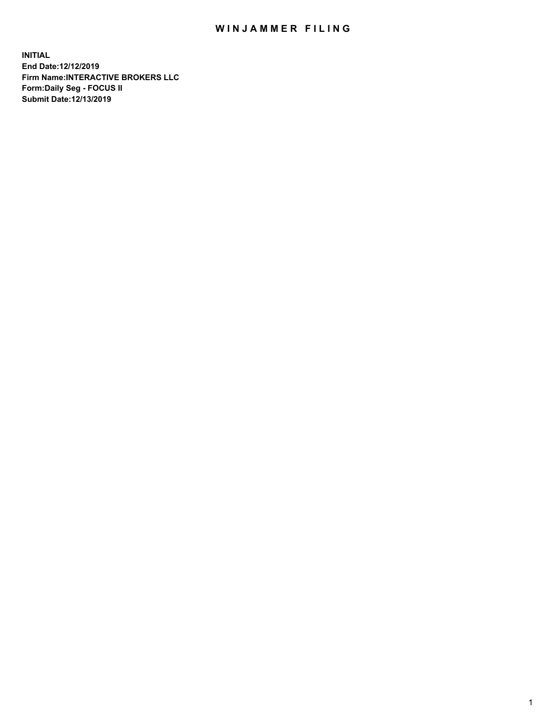## WIN JAMMER FILING

**INITIAL End Date:12/12/2019 Firm Name:INTERACTIVE BROKERS LLC Form:Daily Seg - FOCUS II Submit Date:12/13/2019**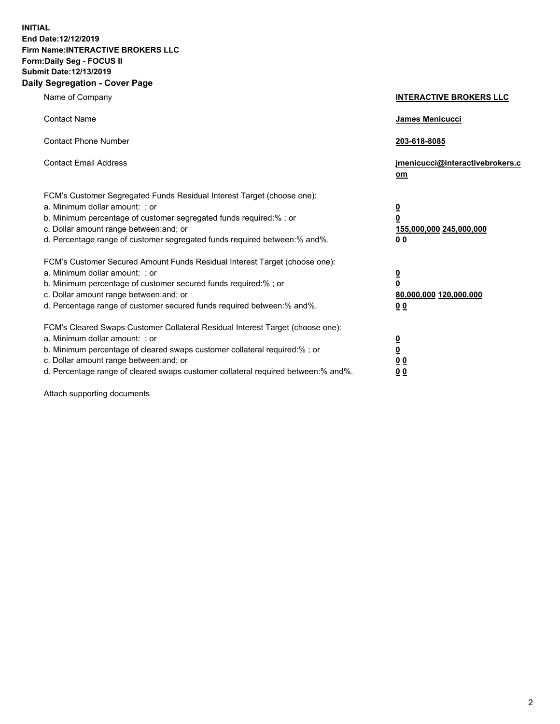**INITIAL End Date:12/12/2019 Firm Name:INTERACTIVE BROKERS LLC Form:Daily Seg - FOCUS II Submit Date:12/13/2019 Daily Segregation - Cover Page**

| Name of Company                                                                                                                                                                                                                                                                                                                | <b>INTERACTIVE BROKERS LLC</b>                                                                  |
|--------------------------------------------------------------------------------------------------------------------------------------------------------------------------------------------------------------------------------------------------------------------------------------------------------------------------------|-------------------------------------------------------------------------------------------------|
| <b>Contact Name</b>                                                                                                                                                                                                                                                                                                            | James Menicucci                                                                                 |
| <b>Contact Phone Number</b>                                                                                                                                                                                                                                                                                                    | 203-618-8085                                                                                    |
| <b>Contact Email Address</b>                                                                                                                                                                                                                                                                                                   | jmenicucci@interactivebrokers.c<br>om                                                           |
| FCM's Customer Segregated Funds Residual Interest Target (choose one):<br>a. Minimum dollar amount: ; or<br>b. Minimum percentage of customer segregated funds required:% ; or<br>c. Dollar amount range between: and; or<br>d. Percentage range of customer segregated funds required between:% and%.                         | $\overline{\mathbf{0}}$<br>$\overline{\mathbf{0}}$<br>155,000,000 245,000,000<br>0 <sub>0</sub> |
| FCM's Customer Secured Amount Funds Residual Interest Target (choose one):<br>a. Minimum dollar amount: ; or<br>b. Minimum percentage of customer secured funds required:%; or<br>c. Dollar amount range between: and; or<br>d. Percentage range of customer secured funds required between:% and%.                            | $\overline{\mathbf{0}}$<br>$\overline{\mathbf{0}}$<br>80,000,000 120,000,000<br>0 <sub>0</sub>  |
| FCM's Cleared Swaps Customer Collateral Residual Interest Target (choose one):<br>a. Minimum dollar amount: ; or<br>b. Minimum percentage of cleared swaps customer collateral required:% ; or<br>c. Dollar amount range between: and; or<br>d. Percentage range of cleared swaps customer collateral required between:% and%. | $\overline{\mathbf{0}}$<br>$\underline{\mathbf{0}}$<br>0 <sub>0</sub><br>0 <sub>0</sub>         |

Attach supporting documents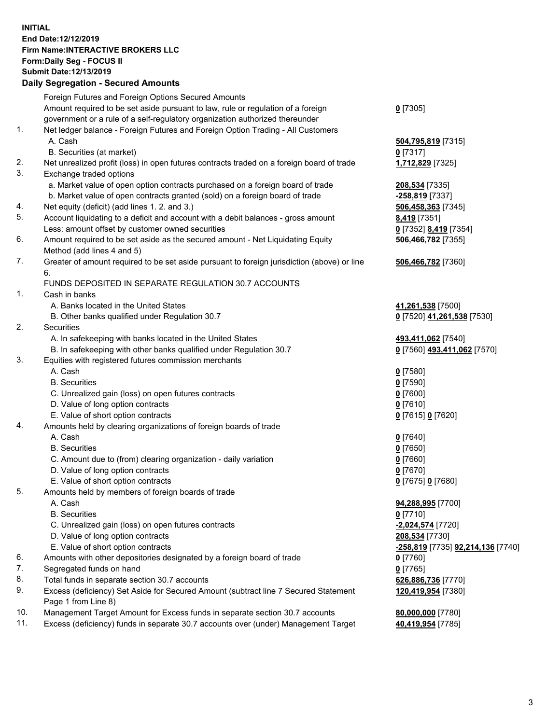## **INITIAL End Date:12/12/2019 Firm Name:INTERACTIVE BROKERS LLC Form:Daily Seg - FOCUS II Submit Date:12/13/2019 Daily Segregation - Secured Amounts**

|     | Daily Segregation - Secured Alliounts                                                       |                                                 |
|-----|---------------------------------------------------------------------------------------------|-------------------------------------------------|
|     | Foreign Futures and Foreign Options Secured Amounts                                         |                                                 |
|     | Amount required to be set aside pursuant to law, rule or regulation of a foreign            | $0$ [7305]                                      |
|     | government or a rule of a self-regulatory organization authorized thereunder                |                                                 |
| 1.  | Net ledger balance - Foreign Futures and Foreign Option Trading - All Customers             |                                                 |
|     | A. Cash                                                                                     | 504,795,819 [7315]                              |
|     | B. Securities (at market)                                                                   | $0$ [7317]                                      |
| 2.  | Net unrealized profit (loss) in open futures contracts traded on a foreign board of trade   | 1,712,829 [7325]                                |
| 3.  | Exchange traded options                                                                     |                                                 |
|     | a. Market value of open option contracts purchased on a foreign board of trade              | 208,534 [7335]                                  |
|     | b. Market value of open contracts granted (sold) on a foreign board of trade                | -258,819 [7337]                                 |
| 4.  | Net equity (deficit) (add lines 1. 2. and 3.)                                               | 506,458,363 [7345]                              |
| 5.  | Account liquidating to a deficit and account with a debit balances - gross amount           | 8,419 [7351]                                    |
|     | Less: amount offset by customer owned securities                                            | 0 [7352] 8,419 [7354]                           |
| 6.  | Amount required to be set aside as the secured amount - Net Liquidating Equity              | 506,466,782 [7355]                              |
|     | Method (add lines 4 and 5)                                                                  |                                                 |
| 7.  | Greater of amount required to be set aside pursuant to foreign jurisdiction (above) or line | 506,466,782 [7360]                              |
|     | 6.                                                                                          |                                                 |
|     | FUNDS DEPOSITED IN SEPARATE REGULATION 30.7 ACCOUNTS                                        |                                                 |
| 1.  | Cash in banks                                                                               |                                                 |
|     | A. Banks located in the United States                                                       | 41,261,538 [7500]                               |
|     | B. Other banks qualified under Regulation 30.7                                              | 0 [7520] 41,261,538 [7530]                      |
| 2.  | Securities                                                                                  |                                                 |
|     | A. In safekeeping with banks located in the United States                                   | 493,411,062 [7540]                              |
|     | B. In safekeeping with other banks qualified under Regulation 30.7                          | 0 [7560] 493,411,062 [7570]                     |
| 3.  | Equities with registered futures commission merchants                                       |                                                 |
|     | A. Cash                                                                                     | $0$ [7580]                                      |
|     | <b>B.</b> Securities                                                                        | $0$ [7590]                                      |
|     | C. Unrealized gain (loss) on open futures contracts                                         | $0$ [7600]                                      |
|     | D. Value of long option contracts                                                           | $0$ [7610]                                      |
|     | E. Value of short option contracts                                                          | 0 [7615] 0 [7620]                               |
| 4.  | Amounts held by clearing organizations of foreign boards of trade                           |                                                 |
|     | A. Cash                                                                                     | $0$ [7640]                                      |
|     | <b>B.</b> Securities                                                                        | $0$ [7650]                                      |
|     | C. Amount due to (from) clearing organization - daily variation                             | $0$ [7660]                                      |
|     | D. Value of long option contracts                                                           | $0$ [7670]                                      |
|     | E. Value of short option contracts                                                          | 0 [7675] 0 [7680]                               |
| 5.  | Amounts held by members of foreign boards of trade                                          |                                                 |
|     | A. Cash                                                                                     | 94,288,995 [7700]                               |
|     | <b>B.</b> Securities                                                                        | $0$ [7710]                                      |
|     | C. Unrealized gain (loss) on open futures contracts                                         | -2,024,574 [7720]                               |
|     | D. Value of long option contracts                                                           | 208,534 [7730]                                  |
|     | E. Value of short option contracts                                                          | <u>-258,819</u> [7735] <u>92,214,136</u> [7740] |
| 6.  | Amounts with other depositories designated by a foreign board of trade                      | $0$ [7760]                                      |
| 7.  | Segregated funds on hand                                                                    | $0$ [7765]                                      |
| 8.  | Total funds in separate section 30.7 accounts                                               | 626,886,736 [7770]                              |
| 9.  | Excess (deficiency) Set Aside for Secured Amount (subtract line 7 Secured Statement         | 120,419,954 [7380]                              |
|     | Page 1 from Line 8)                                                                         |                                                 |
| 10. | Management Target Amount for Excess funds in separate section 30.7 accounts                 | 80,000,000 [7780]                               |
| 11. | Excess (deficiency) funds in separate 30.7 accounts over (under) Management Target          | 40,419,954 [7785]                               |
|     |                                                                                             |                                                 |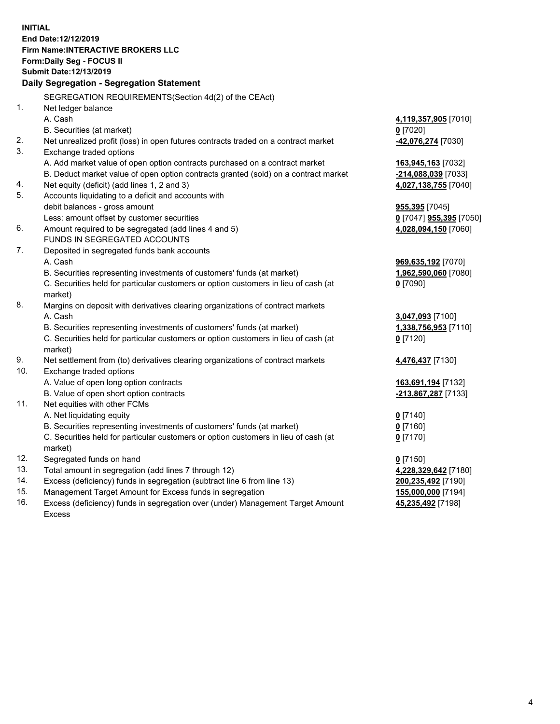**INITIAL End Date:12/12/2019 Firm Name:INTERACTIVE BROKERS LLC Form:Daily Seg - FOCUS II Submit Date:12/13/2019 Daily Segregation - Segregation Statement** SEGREGATION REQUIREMENTS(Section 4d(2) of the CEAct) 1. Net ledger balance A. Cash **4,119,357,905** [7010] B. Securities (at market) **0** [7020] 2. Net unrealized profit (loss) in open futures contracts traded on a contract market **-42,076,274** [7030] 3. Exchange traded options A. Add market value of open option contracts purchased on a contract market **163,945,163** [7032] B. Deduct market value of open option contracts granted (sold) on a contract market **-214,088,039** [7033] 4. Net equity (deficit) (add lines 1, 2 and 3) **4,027,138,755** [7040] 5. Accounts liquidating to a deficit and accounts with debit balances - gross amount **955,395** [7045] Less: amount offset by customer securities **0** [7047] **955,395** [7050] 6. Amount required to be segregated (add lines 4 and 5) **4,028,094,150** [7060] FUNDS IN SEGREGATED ACCOUNTS 7. Deposited in segregated funds bank accounts A. Cash **969,635,192** [7070] B. Securities representing investments of customers' funds (at market) **1,962,590,060** [7080] C. Securities held for particular customers or option customers in lieu of cash (at market) **0** [7090] 8. Margins on deposit with derivatives clearing organizations of contract markets A. Cash **3,047,093** [7100] B. Securities representing investments of customers' funds (at market) **1,338,756,953** [7110] C. Securities held for particular customers or option customers in lieu of cash (at market) **0** [7120] 9. Net settlement from (to) derivatives clearing organizations of contract markets **4,476,437** [7130] 10. Exchange traded options A. Value of open long option contracts **163,691,194** [7132] B. Value of open short option contracts **-213,867,287** [7133] 11. Net equities with other FCMs A. Net liquidating equity **0** [7140] B. Securities representing investments of customers' funds (at market) **0** [7160] C. Securities held for particular customers or option customers in lieu of cash (at market) **0** [7170] 12. Segregated funds on hand **0** [7150] 13. Total amount in segregation (add lines 7 through 12) **4,228,329,642** [7180] 14. Excess (deficiency) funds in segregation (subtract line 6 from line 13) **200,235,492** [7190] 15. Management Target Amount for Excess funds in segregation **155,000,000** [7194] **45,235,492** [7198]

16. Excess (deficiency) funds in segregation over (under) Management Target Amount Excess